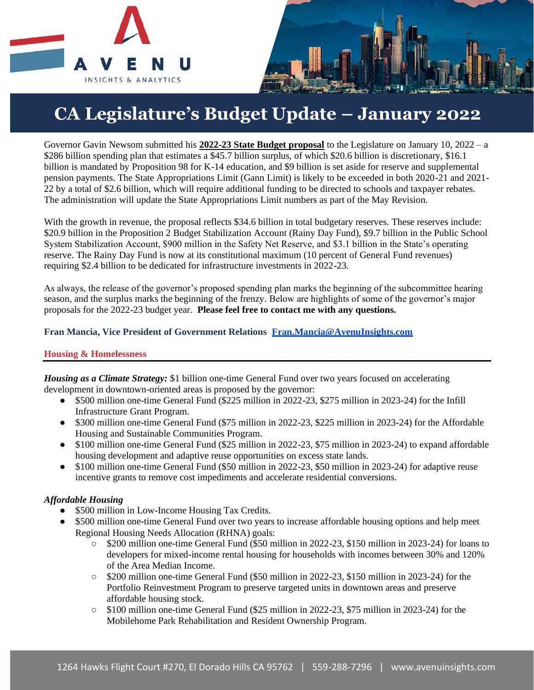



# **March 2021 CA Legislature's Budget Update – January 2022**

Governor Gavin Newsom submitted his **[2022-23 State Budget proposal](https://www.ebudget.ca.gov/FullBudgetSummary.pdf)** to the Legislature on January 10, 2022 – a \$286 billion spending plan that estimates a \$45.7 billion surplus, of which \$20.6 billion is discretionary, \$16.1 billion is mandated by Proposition 98 for K-14 education, and \$9 billion is set aside for reserve and supplemental pension payments. The State Appropriations Limit (Gann Limit) is likely to be exceeded in both 2020-21 and 2021- 22 by a total of \$2.6 billion, which will require additional funding to be directed to schools and taxpayer rebates. The administration will update the State Appropriations Limit numbers as part of the May Revision.

With the growth in revenue, the proposal reflects \$34.6 billion in total budgetary reserves. These reserves include: \$20.9 billion in the Proposition 2 Budget Stabilization Account (Rainy Day Fund), \$9.7 billion in the Public School System Stabilization Account, \$900 million in the Safety Net Reserve, and \$3.1 billion in the State's operating reserve. The Rainy Day Fund is now at its constitutional maximum (10 percent of General Fund revenues) requiring \$2.4 billion to be dedicated for infrastructure investments in 2022-23.

As always, the release of the governor's proposed spending plan marks the beginning of the subcommittee hearing season, and the surplus marks the beginning of the frenzy. Below are highlights of some of the governor's major proposals for the 2022-23 budget year. **Please feel free to contact me with any questions.** 

# **Fran Mancia, Vice President of Government Relations [Fran.Mancia@AvenuInsights.com](mailto:Fran.Mancia@AvenuInsights.com)**

## **Housing & Homelessness**

*Housing as a Climate Strategy:* \$1 billion one-time General Fund over two years focused on accelerating development in downtown-oriented areas is proposed by the governor:

- \$500 million one-time General Fund (\$225 million in 2022-23, \$275 million in 2023-24) for the Infill Infrastructure Grant Program.
- \$300 million one-time General Fund (\$75 million in 2022-23, \$225 million in 2023-24) for the Affordable Housing and Sustainable Communities Program.
- \$100 million one-time General Fund (\$25 million in 2022-23, \$75 million in 2023-24) to expand affordable housing development and adaptive reuse opportunities on excess state lands.
- \$100 million one-time General Fund (\$50 million in 2022-23, \$50 million in 2023-24) for adaptive reuse incentive grants to remove cost impediments and accelerate residential conversions.

## *Affordable Housing*

- \$500 million in Low-Income Housing Tax Credits.
- \$500 million one-time General Fund over two years to increase affordable housing options and help meet Regional Housing Needs Allocation (RHNA) goals:
	- \$200 million one-time General Fund (\$50 million in 2022-23, \$150 million in 2023-24) for loans to developers for mixed-income rental housing for households with incomes between 30% and 120% of the Area Median Income.
	- \$200 million one-time General Fund (\$50 million in 2022-23, \$150 million in 2023-24) for the Portfolio Reinvestment Program to preserve targeted units in downtown areas and preserve affordable housing stock.
	- $\circ$  \$100 million one-time General Fund (\$25 million in 2022-23, \$75 million in 2023-24) for the Mobilehome Park Rehabilitation and Resident Ownership Program.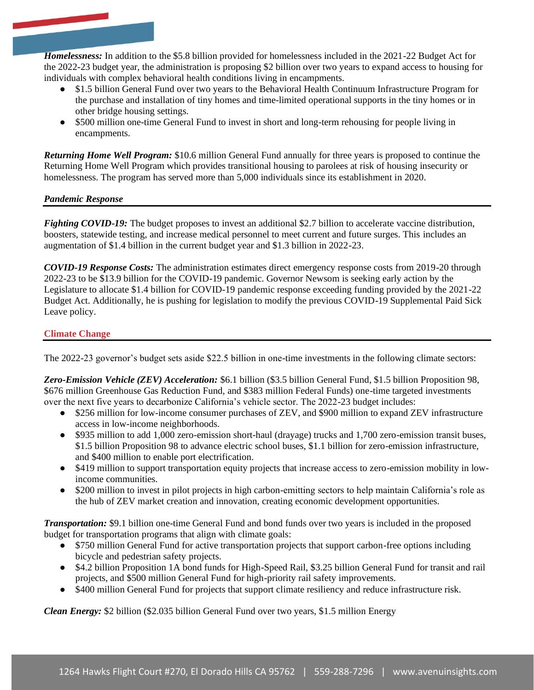*Homelessness:* In addition to the \$5.8 billion provided for homelessness included in the 2021-22 Budget Act for the 2022-23 budget year, the administration is proposing \$2 billion over two years to expand access to housing for individuals with complex behavioral health conditions living in encampments.

- \$1.5 billion General Fund over two years to the Behavioral Health Continuum Infrastructure Program for the purchase and installation of tiny homes and time-limited operational supports in the tiny homes or in other bridge housing settings.
- \$500 million one-time General Fund to invest in short and long-term rehousing for people living in encampments.

*Returning Home Well Program:* \$10.6 million General Fund annually for three years is proposed to continue the Returning Home Well Program which provides transitional housing to parolees at risk of housing insecurity or homelessness. The program has served more than 5,000 individuals since its establishment in 2020.

# *Pandemic Response*

*Fighting COVID-19:* The budget proposes to invest an additional \$2.7 billion to accelerate vaccine distribution, boosters, statewide testing, and increase medical personnel to meet current and future surges. This includes an augmentation of \$1.4 billion in the current budget year and \$1.3 billion in 2022-23.

*COVID-19 Response Costs:* The administration estimates direct emergency response costs from 2019-20 through 2022-23 to be \$13.9 billion for the COVID-19 pandemic. Governor Newsom is seeking early action by the Legislature to allocate \$1.4 billion for COVID-19 pandemic response exceeding funding provided by the 2021-22 Budget Act. Additionally, he is pushing for legislation to modify the previous COVID-19 Supplemental Paid Sick Leave policy.

# **Climate Change**

The 2022-23 governor's budget sets aside \$22.5 billion in one-time investments in the following climate sectors:

*Zero-Emission Vehicle (ZEV) Acceleration:* \$6.1 billion (\$3.5 billion General Fund, \$1.5 billion Proposition 98, \$676 million Greenhouse Gas Reduction Fund, and \$383 million Federal Funds) one-time targeted investments over the next five years to decarbonize California's vehicle sector. The 2022-23 budget includes:

- \$256 million for low-income consumer purchases of ZEV, and \$900 million to expand ZEV infrastructure access in low-income neighborhoods.
- \$935 million to add 1,000 zero-emission short-haul (drayage) trucks and 1,700 zero-emission transit buses, \$1.5 billion Proposition 98 to advance electric school buses, \$1.1 billion for zero-emission infrastructure, and \$400 million to enable port electrification.
- \$419 million to support transportation equity projects that increase access to zero-emission mobility in lowincome communities.
- \$200 million to invest in pilot projects in high carbon-emitting sectors to help maintain California's role as the hub of ZEV market creation and innovation, creating economic development opportunities.

*Transportation:* \$9.1 billion one-time General Fund and bond funds over two years is included in the proposed budget for transportation programs that align with climate goals:

- \$750 million General Fund for active transportation projects that support carbon-free options including bicycle and pedestrian safety projects.
- \$4.2 billion Proposition 1A bond funds for High-Speed Rail, \$3.25 billion General Fund for transit and rail projects, and \$500 million General Fund for high-priority rail safety improvements.
- \$400 million General Fund for projects that support climate resiliency and reduce infrastructure risk.

*Clean Energy:* \$2 billion (\$2.035 billion General Fund over two years, \$1.5 million Energy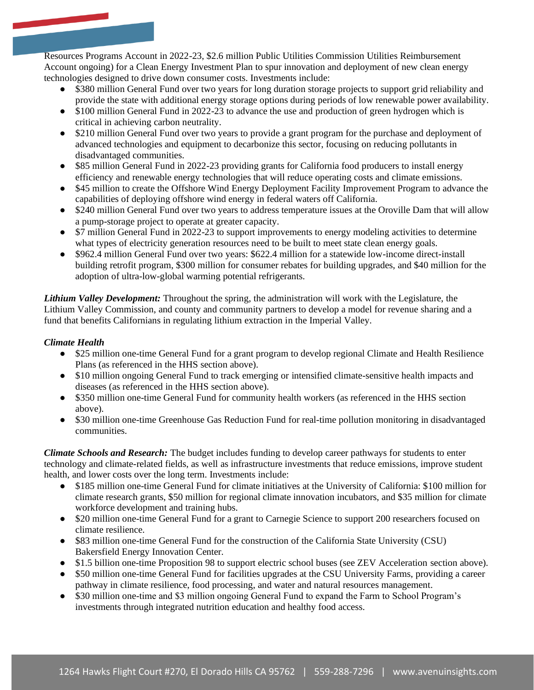Resources Programs Account in 2022-23, \$2.6 million Public Utilities Commission Utilities Reimbursement Account ongoing) for a Clean Energy Investment Plan to spur innovation and deployment of new clean energy technologies designed to drive down consumer costs. Investments include:

- \$380 million General Fund over two years for long duration storage projects to support grid reliability and provide the state with additional energy storage options during periods of low renewable power availability.
- \$100 million General Fund in 2022-23 to advance the use and production of green hydrogen which is critical in achieving carbon neutrality.
- \$210 million General Fund over two years to provide a grant program for the purchase and deployment of advanced technologies and equipment to decarbonize this sector, focusing on reducing pollutants in disadvantaged communities.
- \$85 million General Fund in 2022-23 providing grants for California food producers to install energy efficiency and renewable energy technologies that will reduce operating costs and climate emissions.
- \$45 million to create the Offshore Wind Energy Deployment Facility Improvement Program to advance the capabilities of deploying offshore wind energy in federal waters off California.
- \$240 million General Fund over two years to address temperature issues at the Oroville Dam that will allow a pump-storage project to operate at greater capacity.
- \$7 million General Fund in 2022-23 to support improvements to energy modeling activities to determine what types of electricity generation resources need to be built to meet state clean energy goals.
- \$962.4 million General Fund over two years: \$622.4 million for a statewide low-income direct-install building retrofit program, \$300 million for consumer rebates for building upgrades, and \$40 million for the adoption of ultra-low-global warming potential refrigerants.

*Lithium Valley Development:* Throughout the spring, the administration will work with the Legislature, the Lithium Valley Commission, and county and community partners to develop a model for revenue sharing and a fund that benefits Californians in regulating lithium extraction in the Imperial Valley.

# *Climate Health*

- \$25 million one-time General Fund for a grant program to develop regional Climate and Health Resilience Plans (as referenced in the HHS section above).
- \$10 million ongoing General Fund to track emerging or intensified climate-sensitive health impacts and diseases (as referenced in the HHS section above).
- \$350 million one-time General Fund for community health workers (as referenced in the HHS section above).
- \$30 million one-time Greenhouse Gas Reduction Fund for real-time pollution monitoring in disadvantaged communities.

*Climate Schools and Research:* The budget includes funding to develop career pathways for students to enter technology and climate-related fields, as well as infrastructure investments that reduce emissions, improve student health, and lower costs over the long term. Investments include:

- \$185 million one-time General Fund for climate initiatives at the University of California: \$100 million for climate research grants, \$50 million for regional climate innovation incubators, and \$35 million for climate workforce development and training hubs.
- \$20 million one-time General Fund for a grant to Carnegie Science to support 200 researchers focused on climate resilience.
- \$83 million one-time General Fund for the construction of the California State University (CSU) Bakersfield Energy Innovation Center.
- \$1.5 billion one-time Proposition 98 to support electric school buses (see ZEV Acceleration section above).
- \$50 million one-time General Fund for facilities upgrades at the CSU University Farms, providing a career pathway in climate resilience, food processing, and water and natural resources management.
- \$30 million one-time and \$3 million ongoing General Fund to expand the Farm to School Program's investments through integrated nutrition education and healthy food access.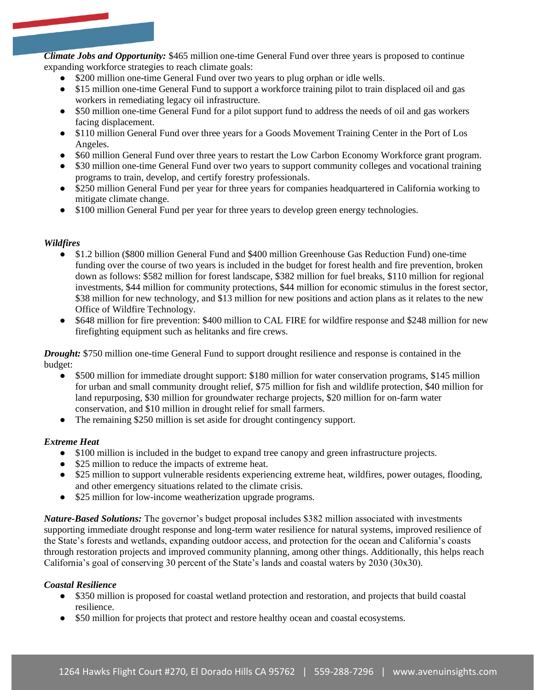*Climate Jobs and Opportunity:* \$465 million one-time General Fund over three years is proposed to continue expanding workforce strategies to reach climate goals:

- \$200 million one-time General Fund over two years to plug orphan or idle wells.
- \$15 million one-time General Fund to support a workforce training pilot to train displaced oil and gas workers in remediating legacy oil infrastructure.
- \$50 million one-time General Fund for a pilot support fund to address the needs of oil and gas workers facing displacement.
- \$110 million General Fund over three years for a Goods Movement Training Center in the Port of Los Angeles.
- \$60 million General Fund over three years to restart the Low Carbon Economy Workforce grant program.
- \$30 million one-time General Fund over two years to support community colleges and vocational training programs to train, develop, and certify forestry professionals.
- \$250 million General Fund per year for three years for companies headquartered in California working to mitigate climate change.
- \$100 million General Fund per year for three years to develop green energy technologies.

# *Wildfires*

- \$1.2 billion (\$800 million General Fund and \$400 million Greenhouse Gas Reduction Fund) one-time funding over the course of two years is included in the budget for forest health and fire prevention, broken down as follows: \$582 million for forest landscape, \$382 million for fuel breaks, \$110 million for regional investments, \$44 million for community protections, \$44 million for economic stimulus in the forest sector, \$38 million for new technology, and \$13 million for new positions and action plans as it relates to the new Office of Wildfire Technology.
- \$648 million for fire prevention: \$400 million to CAL FIRE for wildfire response and \$248 million for new firefighting equipment such as helitanks and fire crews.

*Drought:* \$750 million one-time General Fund to support drought resilience and response is contained in the budget:

- \$500 million for immediate drought support: \$180 million for water conservation programs, \$145 million for urban and small community drought relief, \$75 million for fish and wildlife protection, \$40 million for land repurposing, \$30 million for groundwater recharge projects, \$20 million for on-farm water conservation, and \$10 million in drought relief for small farmers.
- The remaining \$250 million is set aside for drought contingency support.

# *Extreme Heat*

- \$100 million is included in the budget to expand tree canopy and green infrastructure projects.
- \$25 million to reduce the impacts of extreme heat.
- \$25 million to support vulnerable residents experiencing extreme heat, wildfires, power outages, flooding, and other emergency situations related to the climate crisis.
- \$25 million for low-income weatherization upgrade programs.

*Nature-Based Solutions:* The governor's budget proposal includes \$382 million associated with investments supporting immediate drought response and long-term water resilience for natural systems, improved resilience of the State's forests and wetlands, expanding outdoor access, and protection for the ocean and California's coasts through restoration projects and improved community planning, among other things. Additionally, this helps reach California's goal of conserving 30 percent of the State's lands and coastal waters by 2030 (30x30).

# *Coastal Resilience*

- \$350 million is proposed for coastal wetland protection and restoration, and projects that build coastal resilience.
- \$50 million for projects that protect and restore healthy ocean and coastal ecosystems.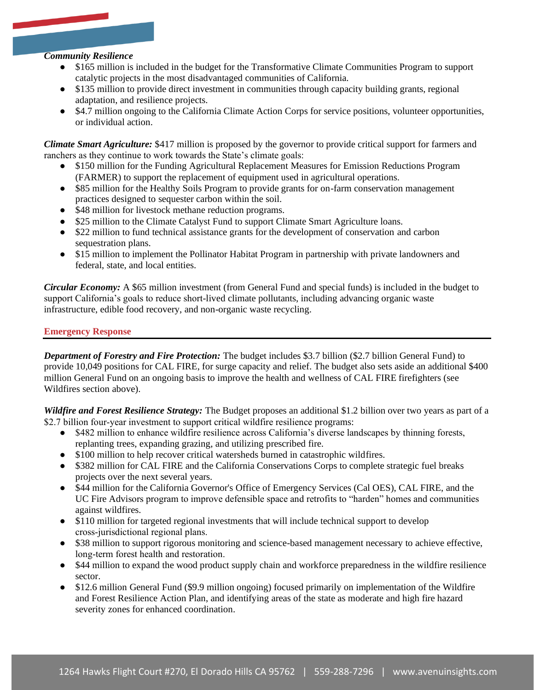## *Community Resilience*

- \$165 million is included in the budget for the Transformative Climate Communities Program to support catalytic projects in the most disadvantaged communities of California.
- \$135 million to provide direct investment in communities through capacity building grants, regional adaptation, and resilience projects.
- \$4.7 million ongoing to the California Climate Action Corps for service positions, volunteer opportunities, or individual action.

*Climate Smart Agriculture:* \$417 million is proposed by the governor to provide critical support for farmers and ranchers as they continue to work towards the State's climate goals:

- \$150 million for the Funding Agricultural Replacement Measures for Emission Reductions Program (FARMER) to support the replacement of equipment used in agricultural operations.
- \$85 million for the Healthy Soils Program to provide grants for on-farm conservation management practices designed to sequester carbon within the soil.
- \$48 million for livestock methane reduction programs.
- \$25 million to the Climate Catalyst Fund to support Climate Smart Agriculture loans.
- \$22 million to fund technical assistance grants for the development of conservation and carbon sequestration plans.
- \$15 million to implement the Pollinator Habitat Program in partnership with private landowners and federal, state, and local entities.

*Circular Economy:* A \$65 million investment (from General Fund and special funds) is included in the budget to support California's goals to reduce short-lived climate pollutants, including advancing organic waste infrastructure, edible food recovery, and non-organic waste recycling.

## **Emergency Response**

*Department of Forestry and Fire Protection:* The budget includes \$3.7 billion (\$2.7 billion General Fund) to provide 10,049 positions for CAL FIRE, for surge capacity and relief. The budget also sets aside an additional \$400 million General Fund on an ongoing basis to improve the health and wellness of CAL FIRE firefighters (see Wildfires section above).

*Wildfire and Forest Resilience Strategy:* The Budget proposes an additional \$1.2 billion over two years as part of a \$2.7 billion four-year investment to support critical wildfire resilience programs:

- \$482 million to enhance wildfire resilience across California's diverse landscapes by thinning forests, replanting trees, expanding grazing, and utilizing prescribed fire.
- \$100 million to help recover critical watersheds burned in catastrophic wildfires.
- \$382 million for CAL FIRE and the California Conservations Corps to complete strategic fuel breaks projects over the next several years.
- \$44 million for the California Governor's Office of Emergency Services (Cal OES), CAL FIRE, and the UC Fire Advisors program to improve defensible space and retrofits to "harden" homes and communities against wildfires.
- \$110 million for targeted regional investments that will include technical support to develop cross‑jurisdictional regional plans.
- \$38 million to support rigorous monitoring and science-based management necessary to achieve effective, long-term forest health and restoration.
- \$44 million to expand the wood product supply chain and workforce preparedness in the wildfire resilience sector.
- \$12.6 million General Fund (\$9.9 million ongoing) focused primarily on implementation of the Wildfire and Forest Resilience Action Plan, and identifying areas of the state as moderate and high fire hazard severity zones for enhanced coordination.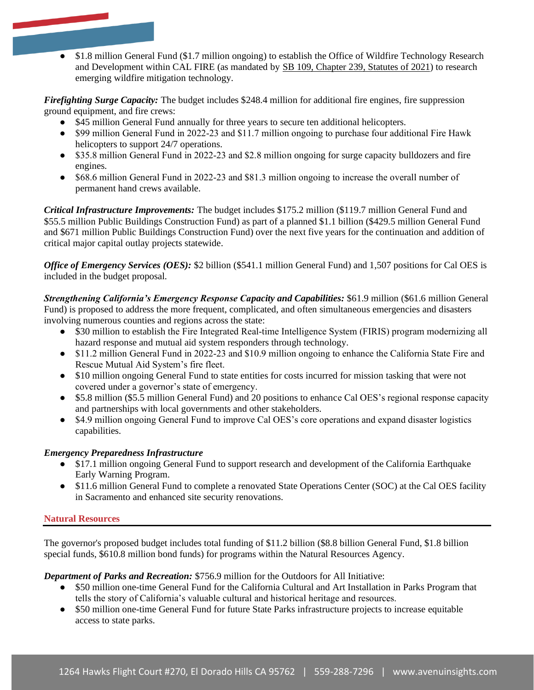

\$1.8 million General Fund (\$1.7 million ongoing) to establish the Office of Wildfire Technology Research and Development within CAL FIRE (as mandated by [SB 109, Chapter 239, Statutes of 2021\)](https://leginfo.legislature.ca.gov/faces/billTextClient.xhtml?bill_id=202120220SB109) to research emerging wildfire mitigation technology.

*Firefighting Surge Capacity:* The budget includes \$248.4 million for additional fire engines, fire suppression ground equipment, and fire crews:

- \$45 million General Fund annually for three years to secure ten additional helicopters.
- \$99 million General Fund in 2022-23 and \$11.7 million ongoing to purchase four additional Fire Hawk helicopters to support 24/7 operations.
- \$35.8 million General Fund in 2022-23 and \$2.8 million ongoing for surge capacity bulldozers and fire engines.
- \$68.6 million General Fund in 2022-23 and \$81.3 million ongoing to increase the overall number of permanent hand crews available.

*Critical Infrastructure Improvements:* The budget includes \$175.2 million (\$119.7 million General Fund and \$55.5 million Public Buildings Construction Fund) as part of a planned \$1.1 billion (\$429.5 million General Fund and \$671 million Public Buildings Construction Fund) over the next five years for the continuation and addition of critical major capital outlay projects statewide.

*Office of Emergency Services (OES):* \$2 billion (\$541.1 million General Fund) and 1,507 positions for Cal OES is included in the budget proposal.

*Strengthening California's Emergency Response Capacity and Capabilities:* \$61.9 million (\$61.6 million General Fund) is proposed to address the more frequent, complicated, and often simultaneous emergencies and disasters involving numerous counties and regions across the state:

- \$30 million to establish the Fire Integrated Real-time Intelligence System (FIRIS) program modernizing all hazard response and mutual aid system responders through technology.
- \$11.2 million General Fund in 2022-23 and \$10.9 million ongoing to enhance the California State Fire and Rescue Mutual Aid System's fire fleet.
- \$10 million ongoing General Fund to state entities for costs incurred for mission tasking that were not covered under a governor's state of emergency.
- \$5.8 million (\$5.5 million General Fund) and 20 positions to enhance Cal OES's regional response capacity and partnerships with local governments and other stakeholders.
- \$4.9 million ongoing General Fund to improve Cal OES's core operations and expand disaster logistics capabilities.

# *Emergency Preparedness Infrastructure*

- \$17.1 million ongoing General Fund to support research and development of the California Earthquake Early Warning Program.
- \$11.6 million General Fund to complete a renovated State Operations Center (SOC) at the Cal OES facility in Sacramento and enhanced site security renovations.

# **Natural Resources**

The governor's proposed budget includes total funding of \$11.2 billion (\$8.8 billion General Fund, \$1.8 billion special funds, \$610.8 million bond funds) for programs within the Natural Resources Agency.

*Department of Parks and Recreation:* \$756.9 million for the Outdoors for All Initiative:

- \$50 million one-time General Fund for the California Cultural and Art Installation in Parks Program that tells the story of California's valuable cultural and historical heritage and resources.
- \$50 million one-time General Fund for future State Parks infrastructure projects to increase equitable access to state parks.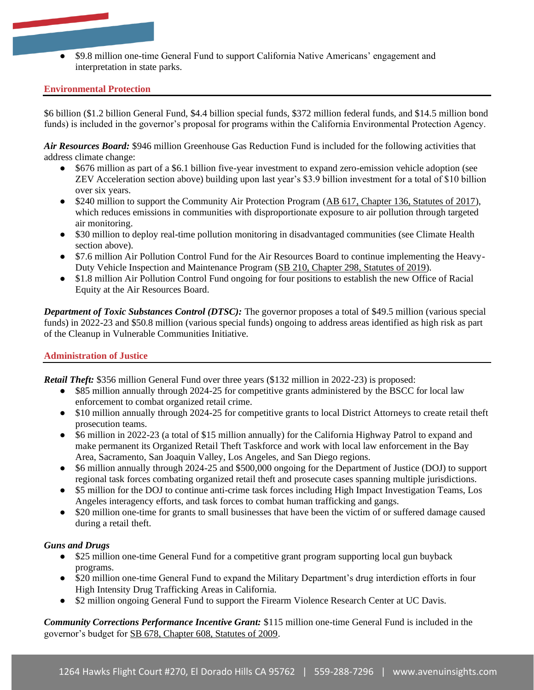

● \$9.8 million one-time General Fund to support California Native Americans' engagement and interpretation in state parks.

## **Environmental Protection**

\$6 billion (\$1.2 billion General Fund, \$4.4 billion special funds, \$372 million federal funds, and \$14.5 million bond funds) is included in the governor's proposal for programs within the California Environmental Protection Agency.

*Air Resources Board:* \$946 million Greenhouse Gas Reduction Fund is included for the following activities that address climate change:

- \$676 million as part of a \$6.1 billion five-year investment to expand zero-emission vehicle adoption (see ZEV Acceleration section above) building upon last year's \$3.9 billion investment for a total of \$10 billion over six years.
- \$240 million to support the Community Air Protection Program [\(AB 617, Chapter 136, Statutes of 2017\)](https://leginfo.legislature.ca.gov/faces/billTextClient.xhtml?bill_id=201720180AB617), which reduces emissions in communities with disproportionate exposure to air pollution through targeted air monitoring.
- \$30 million to deploy real-time pollution monitoring in disadvantaged communities (see Climate Health section above).
- \$7.6 million Air Pollution Control Fund for the Air Resources Board to continue implementing the Heavy-Duty Vehicle Inspection and Maintenance Program [\(SB 210, Chapter 298, Statutes of 2019\)](https://leginfo.legislature.ca.gov/faces/billTextClient.xhtml?bill_id=201920200SB210).
- \$1.8 million Air Pollution Control Fund ongoing for four positions to establish the new Office of Racial Equity at the Air Resources Board.

*Department of Toxic Substances Control (DTSC):* The governor proposes a total of \$49.5 million (various special funds) in 2022-23 and \$50.8 million (various special funds) ongoing to address areas identified as high risk as part of the Cleanup in Vulnerable Communities Initiative.

## **Administration of Justice**

*Retail Theft:* \$356 million General Fund over three years (\$132 million in 2022-23) is proposed:

- \$85 million annually through 2024-25 for competitive grants administered by the BSCC for local law enforcement to combat organized retail crime.
- \$10 million annually through 2024-25 for competitive grants to local District Attorneys to create retail theft prosecution teams.
- \$6 million in 2022-23 (a total of \$15 million annually) for the California Highway Patrol to expand and make permanent its Organized Retail Theft Taskforce and work with local law enforcement in the Bay Area, Sacramento, San Joaquin Valley, Los Angeles, and San Diego regions.
- \$6 million annually through 2024-25 and \$500,000 ongoing for the Department of Justice (DOJ) to support regional task forces combating organized retail theft and prosecute cases spanning multiple jurisdictions.
- \$5 million for the DOJ to continue anti-crime task forces including High Impact Investigation Teams, Los Angeles interagency efforts, and task forces to combat human trafficking and gangs.
- \$20 million one-time for grants to small businesses that have been the victim of or suffered damage caused during a retail theft.

## *Guns and Drugs*

- \$25 million one-time General Fund for a competitive grant program supporting local gun buyback programs.
- \$20 million one-time General Fund to expand the Military Department's drug interdiction efforts in four High Intensity Drug Trafficking Areas in California.
- \$2 million ongoing General Fund to support the Firearm Violence Research Center at UC Davis.

*Community Corrections Performance Incentive Grant:* \$115 million one-time General Fund is included in the governor's budget for [SB 678, Chapter 608, Statutes of 2009.](https://leginfo.legislature.ca.gov/faces/billTextClient.xhtml?bill_id=200920100SB678)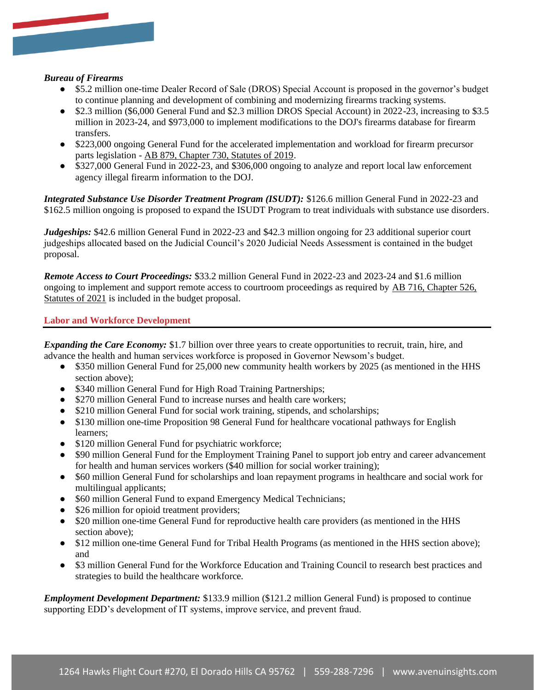#### *Bureau of Firearms*

- \$5.2 million one-time Dealer Record of Sale (DROS) Special Account is proposed in the governor's budget to continue planning and development of combining and modernizing firearms tracking systems.
- \$2.3 million (\$6,000 General Fund and \$2.3 million DROS Special Account) in 2022-23, increasing to \$3.5 million in 2023-24, and \$973,000 to implement modifications to the DOJ's firearms database for firearm transfers.
- \$223,000 ongoing General Fund for the accelerated implementation and workload for firearm precursor parts legislation - [AB 879, Chapter 730, Statutes of 2019.](https://leginfo.legislature.ca.gov/faces/billTextClient.xhtml?bill_id=201920200AB879)
- \$327,000 General Fund in 2022-23, and \$306,000 ongoing to analyze and report local law enforcement agency illegal firearm information to the DOJ.

*Integrated Substance Use Disorder Treatment Program (ISUDT):* \$126.6 million General Fund in 2022-23 and \$162.5 million ongoing is proposed to expand the ISUDT Program to treat individuals with substance use disorders.

*Judgeships:* \$42.6 million General Fund in 2022-23 and \$42.3 million ongoing for 23 additional superior court judgeships allocated based on the Judicial Council's 2020 Judicial Needs Assessment is contained in the budget proposal.

*Remote Access to Court Proceedings:* \$33.2 million General Fund in 2022-23 and 2023-24 and \$1.6 million ongoing to implement and support remote access to courtroom proceedings as required by [AB 716, Chapter 526,](https://leginfo.legislature.ca.gov/faces/billTextClient.xhtml?bill_id=202120220AB716)  [Statutes of 2021](https://leginfo.legislature.ca.gov/faces/billTextClient.xhtml?bill_id=202120220AB716) is included in the budget proposal.

## **Labor and Workforce Development**

*Expanding the Care Economy:* \$1.7 billion over three years to create opportunities to recruit, train, hire, and advance the health and human services workforce is proposed in Governor Newsom's budget.

- \$350 million General Fund for 25,000 new community health workers by 2025 (as mentioned in the HHS section above);
- \$340 million General Fund for High Road Training Partnerships;
- \$270 million General Fund to increase nurses and health care workers;
- \$210 million General Fund for social work training, stipends, and scholarships;
- \$130 million one-time Proposition 98 General Fund for healthcare vocational pathways for English learners;
- \$120 million General Fund for psychiatric workforce;
- \$90 million General Fund for the Employment Training Panel to support job entry and career advancement for health and human services workers (\$40 million for social worker training);
- \$60 million General Fund for scholarships and loan repayment programs in healthcare and social work for multilingual applicants;
- \$60 million General Fund to expand Emergency Medical Technicians;
- \$26 million for opioid treatment providers;
- \$20 million one-time General Fund for reproductive health care providers (as mentioned in the HHS section above);
- \$12 million one-time General Fund for Tribal Health Programs (as mentioned in the HHS section above); and
- \$3 million General Fund for the Workforce Education and Training Council to research best practices and strategies to build the healthcare workforce.

*Employment Development Department:* \$133.9 million (\$121.2 million General Fund) is proposed to continue supporting EDD's development of IT systems, improve service, and prevent fraud.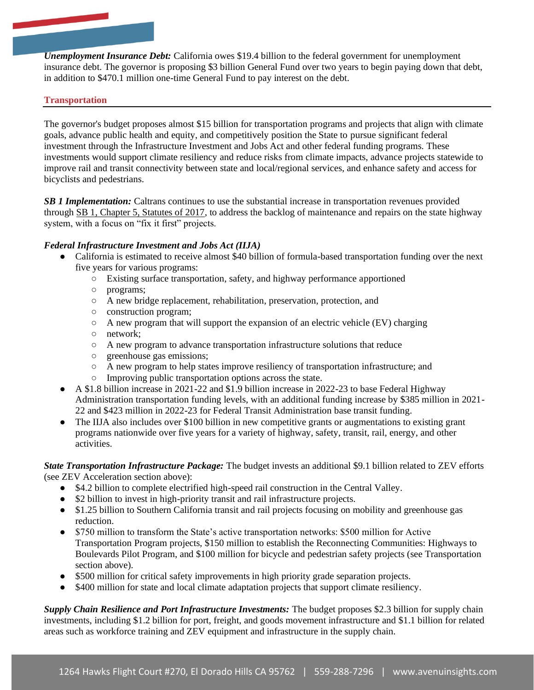*Unemployment Insurance Debt:* California owes \$19.4 billion to the federal government for unemployment insurance debt. The governor is proposing \$3 billion General Fund over two years to begin paying down that debt, in addition to \$470.1 million one-time General Fund to pay interest on the debt.

# **Transportation**

The governor's budget proposes almost \$15 billion for transportation programs and projects that align with climate goals, advance public health and equity, and competitively position the State to pursue significant federal investment through the Infrastructure Investment and Jobs Act and other federal funding programs. These investments would support climate resiliency and reduce risks from climate impacts, advance projects statewide to improve rail and transit connectivity between state and local/regional services, and enhance safety and access for bicyclists and pedestrians.

*SB 1 Implementation:* Caltrans continues to use the substantial increase in transportation revenues provided through [SB 1, Chapter 5, Statutes of 2017,](https://leginfo.legislature.ca.gov/faces/billTextClient.xhtml?bill_id=201720180SB1) to address the backlog of maintenance and repairs on the state highway system, with a focus on "fix it first" projects.

## *Federal Infrastructure Investment and Jobs Act (IIJA)*

- California is estimated to receive almost \$40 billion of formula-based transportation funding over the next five years for various programs:
	- Existing surface transportation, safety, and highway performance apportioned
	- programs;
	- A new bridge replacement, rehabilitation, preservation, protection, and
	- construction program;
	- $\circ$  A new program that will support the expansion of an electric vehicle (EV) charging
	- network;
	- A new program to advance transportation infrastructure solutions that reduce
	- greenhouse gas emissions;
	- A new program to help states improve resiliency of transportation infrastructure; and
	- Improving public transportation options across the state.
- A \$1.8 billion increase in 2021-22 and \$1.9 billion increase in 2022-23 to base Federal Highway Administration transportation funding levels, with an additional funding increase by \$385 million in 2021- 22 and \$423 million in 2022-23 for Federal Transit Administration base transit funding.
- The IIJA also includes over \$100 billion in new competitive grants or augmentations to existing grant programs nationwide over five years for a variety of highway, safety, transit, rail, energy, and other activities.

*State Transportation Infrastructure Package:* The budget invests an additional \$9.1 billion related to ZEV efforts (see ZEV Acceleration section above):

- \$4.2 billion to complete electrified high-speed rail construction in the Central Valley.
- \$2 billion to invest in high-priority transit and rail infrastructure projects.
- \$1.25 billion to Southern California transit and rail projects focusing on mobility and greenhouse gas reduction.
- \$750 million to transform the State's active transportation networks: \$500 million for Active Transportation Program projects, \$150 million to establish the Reconnecting Communities: Highways to Boulevards Pilot Program, and \$100 million for bicycle and pedestrian safety projects (see Transportation section above).
- \$500 million for critical safety improvements in high priority grade separation projects.
- \$400 million for state and local climate adaptation projects that support climate resiliency.

*Supply Chain Resilience and Port Infrastructure Investments:* The budget proposes \$2.3 billion for supply chain investments, including \$1.2 billion for port, freight, and goods movement infrastructure and \$1.1 billion for related areas such as workforce training and ZEV equipment and infrastructure in the supply chain.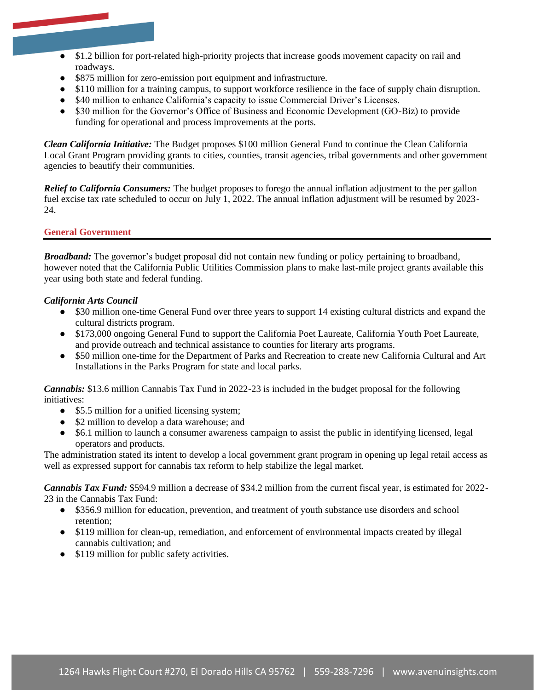- \$1.2 billion for port-related high-priority projects that increase goods movement capacity on rail and roadways.
- \$875 million for zero-emission port equipment and infrastructure.
- \$110 million for a training campus, to support workforce resilience in the face of supply chain disruption.
- \$40 million to enhance California's capacity to issue Commercial Driver's Licenses.
- \$30 million for the Governor's Office of Business and Economic Development (GO-Biz) to provide funding for operational and process improvements at the ports.

*Clean California Initiative:* The Budget proposes \$100 million General Fund to continue the Clean California Local Grant Program providing grants to cities, counties, transit agencies, tribal governments and other government agencies to beautify their communities.

*Relief to California Consumers:* The budget proposes to forego the annual inflation adjustment to the per gallon fuel excise tax rate scheduled to occur on July 1, 2022. The annual inflation adjustment will be resumed by 2023- 24.

# **General Government**

*Broadband:* The governor's budget proposal did not contain new funding or policy pertaining to broadband, however noted that the California Public Utilities Commission plans to make last-mile project grants available this year using both state and federal funding.

# *California Arts Council*

- \$30 million one-time General Fund over three years to support 14 existing cultural districts and expand the cultural districts program.
- \$173,000 ongoing General Fund to support the California Poet Laureate, California Youth Poet Laureate, and provide outreach and technical assistance to counties for literary arts programs.
- \$50 million one-time for the Department of Parks and Recreation to create new California Cultural and Art Installations in the Parks Program for state and local parks.

*Cannabis:* \$13.6 million Cannabis Tax Fund in 2022-23 is included in the budget proposal for the following initiatives:

- \$5.5 million for a unified licensing system;
- \$2 million to develop a data warehouse; and
- \$6.1 million to launch a consumer awareness campaign to assist the public in identifying licensed, legal operators and products.

The administration stated its intent to develop a local government grant program in opening up legal retail access as well as expressed support for cannabis tax reform to help stabilize the legal market.

*Cannabis Tax Fund:* \$594.9 million a decrease of \$34.2 million from the current fiscal year, is estimated for 2022- 23 in the Cannabis Tax Fund:

- \$356.9 million for education, prevention, and treatment of youth substance use disorders and school retention;
- \$119 million for clean-up, remediation, and enforcement of environmental impacts created by illegal cannabis cultivation; and
- \$119 million for public safety activities.